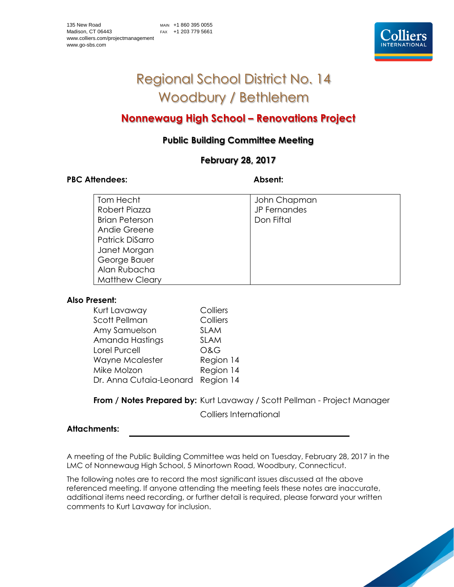# Regional School District No. 14 Woodbury / Bethlehem

# **Nonnewaug High School – Renovations Project**

# **Public Building Committee Meeting**

## **February 28, 2017**

#### PBC Attendees: Absent:

| Tom Hecht             | John Chapman |
|-----------------------|--------------|
| Robert Piazza         | JP Fernandes |
| <b>Brian Peterson</b> | Don Fiftal   |
| Andie Greene          |              |
| Patrick DiSarro       |              |
| Janet Morgan          |              |
| George Bauer          |              |
| Alan Rubacha          |              |
| <b>Matthew Cleary</b> |              |

#### **Also Present:**

| Colliers                             |
|--------------------------------------|
| Colliers                             |
| <b>SLAM</b>                          |
| <b>SLAM</b>                          |
| <b>O&amp;G</b>                       |
| Region 14                            |
| Region 14                            |
| Region 14<br>Dr. Anna Cutaia-Leonard |
|                                      |

### **From / Notes Prepared by:** Kurt Lavaway / Scott Pellman - Project Manager

Colliers International

#### **Attachments:**

A meeting of the Public Building Committee was held on Tuesday, February 28, 2017 in the LMC of Nonnewaug High School, 5 Minortown Road, Woodbury, Connecticut.

The following notes are to record the most significant issues discussed at the above referenced meeting. If anyone attending the meeting feels these notes are inaccurate, additional items need recording, or further detail is required, please forward your written comments to Kurt Lavaway for inclusion.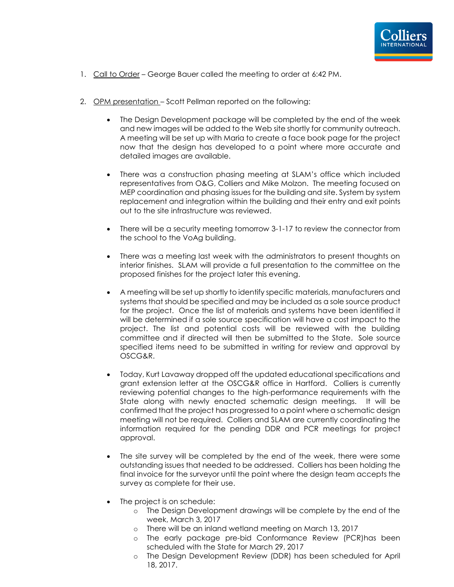

- 1. Call to Order George Bauer called the meeting to order at 6:42 PM.
- 2. OPM presentation Scott Pellman reported on the following:
	- The Design Development package will be completed by the end of the week and new images will be added to the Web site shortly for community outreach. A meeting will be set up with Maria to create a face book page for the project now that the design has developed to a point where more accurate and detailed images are available.
	- There was a construction phasing meeting at SLAM's office which included representatives from O&G, Colliers and Mike Molzon. The meeting focused on MEP coordination and phasing issues for the building and site. System by system replacement and integration within the building and their entry and exit points out to the site infrastructure was reviewed.
	- There will be a security meeting tomorrow 3-1-17 to review the connector from the school to the VoAg building.
	- There was a meeting last week with the administrators to present thoughts on interior finishes. SLAM will provide a full presentation to the committee on the proposed finishes for the project later this evening.
	- A meeting will be set up shortly to identify specific materials, manufacturers and systems that should be specified and may be included as a sole source product for the project. Once the list of materials and systems have been identified it will be determined if a sole source specification will have a cost impact to the project. The list and potential costs will be reviewed with the building committee and if directed will then be submitted to the State. Sole source specified items need to be submitted in writing for review and approval by OSCG&R.
	- Today, Kurt Lavaway dropped off the updated educational specifications and grant extension letter at the OSCG&R office in Hartford. Colliers is currently reviewing potential changes to the high-performance requirements with the State along with newly enacted schematic design meetings. It will be confirmed that the project has progressed to a point where a schematic design meeting will not be required. Colliers and SLAM are currently coordinating the information required for the pending DDR and PCR meetings for project approval.
	- The site survey will be completed by the end of the week, there were some outstanding issues that needed to be addressed. Colliers has been holding the final invoice for the surveyor until the point where the design team accepts the survey as complete for their use.
	- The project is on schedule:
		- o The Design Development drawings will be complete by the end of the week, March 3, 2017
		- o There will be an inland wetland meeting on March 13, 2017
		- o The early package pre-bid Conformance Review (PCR)has been scheduled with the State for March 29, 2017
		- o The Design Development Review (DDR) has been scheduled for April 18, 2017.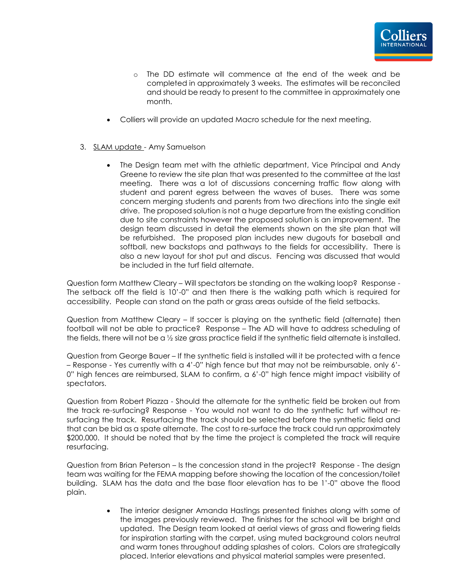

- o The DD estimate will commence at the end of the week and be completed in approximately 3 weeks. The estimates will be reconciled and should be ready to present to the committee in approximately one month.
- Colliers will provide an updated Macro schedule for the next meeting.
- 3. SLAM update Amy Samuelson
	- The Design team met with the athletic department, Vice Principal and Andy Greene to review the site plan that was presented to the committee at the last meeting. There was a lot of discussions concerning traffic flow along with student and parent egress between the waves of buses. There was some concern merging students and parents from two directions into the single exit drive. The proposed solution is not a huge departure from the existing condition due to site constraints however the proposed solution is an improvement. The design team discussed in detail the elements shown on the site plan that will be refurbished. The proposed plan includes new dugouts for baseball and softball, new backstops and pathways to the fields for accessibility. There is also a new layout for shot put and discus. Fencing was discussed that would be included in the turf field alternate.

Question form Matthew Cleary – Will spectators be standing on the walking loop? Response - The setback off the field is 10'-0" and then there is the walking path which is required for accessibility. People can stand on the path or grass areas outside of the field setbacks.

Question from Matthew Cleary – If soccer is playing on the synthetic field (alternate) then football will not be able to practice? Response – The AD will have to address scheduling of the fields, there will not be a ½ size grass practice field if the synthetic field alternate is installed.

Question from George Bauer – If the synthetic field is installed will it be protected with a fence – Response - Yes currently with a 4'-0" high fence but that may not be reimbursable, only 6'- 0" high fences are reimbursed, SLAM to confirm, a 6'-0" high fence might impact visibility of spectators.

Question from Robert Piazza - Should the alternate for the synthetic field be broken out from the track re-surfacing? Response - You would not want to do the synthetic turf without resurfacing the track. Resurfacing the track should be selected before the synthetic field and that can be bid as a spate alternate. The cost to re-surface the track could run approximately \$200,000. It should be noted that by the time the project is completed the track will require resurfacing.

Question from Brian Peterson – Is the concession stand in the project? Response - The design team was waiting for the FEMA mapping before showing the location of the concession/toilet building. SLAM has the data and the base floor elevation has to be 1'-0" above the flood plain.

> The interior designer Amanda Hastings presented finishes along with some of the images previously reviewed. The finishes for the school will be bright and updated. The Design team looked at aerial views of grass and flowering fields for inspiration starting with the carpet, using muted background colors neutral and warm tones throughout adding splashes of colors. Colors are strategically placed. Interior elevations and physical material samples were presented.